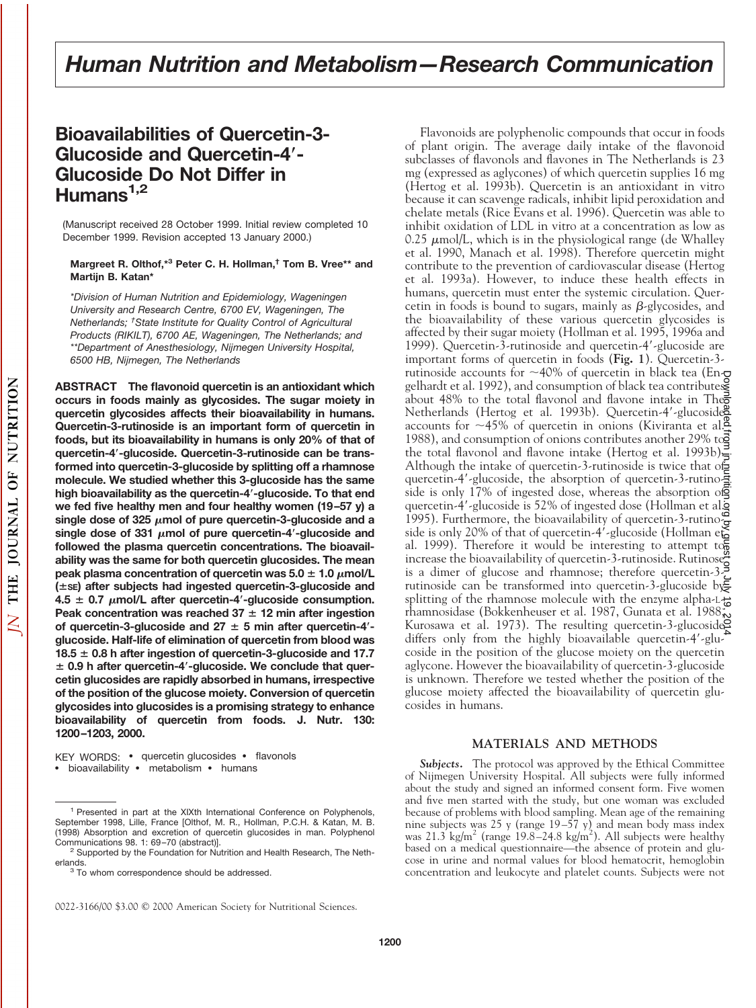# **Bioavailabilities of Quercetin-3- Glucoside and Quercetin-4**\***- Glucoside Do Not Differ in Humans1,2**

(Manuscript received 28 October 1999. Initial review completed 10 December 1999. Revision accepted 13 January 2000.)

#### **Margreet R. Olthof,\*3 Peter C. H. Hollman,† Tom B. Vree\*\* and Martijn B. Katan\***

*\*Division of Human Nutrition and Epidemiology, Wageningen University and Research Centre, 6700 EV, Wageningen, The Netherlands; † State Institute for Quality Control of Agricultural Products (RIKILT), 6700 AE, Wageningen, The Netherlands; and \*\*Department of Anesthesiology, Nijmegen University Hospital, 6500 HB, Nijmegen, The Netherlands*

**ABSTRACT The flavonoid quercetin is an antioxidant which occurs in foods mainly as glycosides. The sugar moiety in quercetin glycosides affects their bioavailability in humans. Quercetin-3-rutinoside is an important form of quercetin in foods, but its bioavailability in humans is only 20% of that of quercetin-4**\***-glucoside. Quercetin-3-rutinoside can be transformed into quercetin-3-glucoside by splitting off a rhamnose molecule. We studied whether this 3-glucoside has the same high bioavailability as the quercetin-4**\***-glucoside. To that end we fed five healthy men and four healthy women (19–57 y) a** single dose of 325  $\mu$ mol of pure quercetin-3-glucoside and a single dose of 331  $\mu$ mol of pure quercetin-4<sup>'</sup>-glucoside and **followed the plasma quercetin concentrations. The bioavailability was the same for both quercetin glucosides. The mean peak plasma concentration of quercetin was**  $5.0 \pm 1.0 \mu$  **mol/L (**6**SE) after subjects had ingested quercetin-3-glucoside and**  $4.5 \pm 0.7$   $\mu$ mol/L after quercetin-4'-glucoside consumption. **Peak concentration was reached 37**  $\pm$  **12 min after ingestion** of quercetin-3-glucoside and  $27 \pm 5$  min after quercetin-4'**glucoside. Half-life of elimination of quercetin from blood was**  $18.5 \pm 0.8$  h after ingestion of quercetin-3-glucoside and 17.7 6 **0.9 h after quercetin-4**\***-glucoside. We conclude that quercetin glucosides are rapidly absorbed in humans, irrespective of the position of the glucose moiety. Conversion of quercetin glycosides into glucosides is a promising strategy to enhance bioavailability of quercetin from foods. J. Nutr. 130: 1200–1203, 2000.**

KEY WORDS: • quercetin glucosides • flavonols • bioavailability • metabolism • humans

Flavonoids are polyphenolic compounds that occur in foods of plant origin. The average daily intake of the flavonoid subclasses of flavonols and flavones in The Netherlands is 23 mg (expressed as aglycones) of which quercetin supplies 16 mg (Hertog et al. 1993b). Quercetin is an antioxidant in vitro because it can scavenge radicals, inhibit lipid peroxidation and chelate metals (Rice Evans et al. 1996). Quercetin was able to inhibit oxidation of LDL in vitro at a concentration as low as 0.25  $\mu$ mol/L, which is in the physiological range (de Whalley et al. 1990, Manach et al. 1998). Therefore quercetin might contribute to the prevention of cardiovascular disease (Hertog et al. 1993a). However, to induce these health effects in humans, quercetin must enter the systemic circulation. Quercetin in foods is bound to sugars, mainly as  $\beta$ -glycosides, and the bioavailability of these various quercetin glycosides is affected by their sugar moiety (Hollman et al. 1995, 1996a and 1999). Quercetin-3-rutinoside and quercetin-4'-glucoside are important forms of quercetin in foods (**Fig. 1**). Quercetin-3 rutinoside accounts for  $\sim$ 40% of quercetin in black tea (En- $\sigma$ gelhardt et al. 1992), and consumption of black tea contributes about 48% to the total flavonol and flavone intake in The Netherlands (Hertog et al. 1993b). Quercetin-4'-glucoside accounts for  $\sim$ 45% of quercetin in onions (Kiviranta et al. 1988), and consumption of onions contributes another 29% to  $\frac{1}{2}$ the total flavonol and flavone intake (Hertog et al. 1993b) $\frac{1}{5}$ Although the intake of quercetin-3-rutinoside is twice that of quercetin-4'-glucoside, the absorption of quercetin-3-rutino $\pm$ side is only 17% of ingested dose, whereas the absorption of quercetin-4'-glucoside is 52% of ingested dose (Hollman et al. quercetin-1 successive to 52% of material of quercetin-3-rutino $\frac{\omega}{2}$ side is only 20% of that of quercetin-4'-glucoside (Hollman et al. 1999). Therefore it would be interesting to attempt  $t\overline{\sigma}$ al. 1999). Increase the bioavailability of quercetin-3-rutinoside. Rutinose<sup>8</sup> increase the bioavailability of quercetin-3-rutinoside. Rutinose<sup>8</sup> is a dimer of glucose and rhamnose; therefore quercetin-3 rutinoside can be transformed into quercetin-3-glucoside by splitting of the rhamnose molecule with the enzyme alpha-Lrhamnosidase (Bokkenheuser et al. 1987, Gunata et al. 1988, Sunata et al. 1988, Sunata et al. 1988, Sunata et Kurosawa et al. 1973). The resulting quercetin-3-glucoside differs only from the highly bioavailable quercetin- $4'$ -glucoside in the position of the glucose moiety on the quercetin aglycone. However the bioavailability of quercetin-3-glucoside is unknown. Therefore we tested whether the position of the glucose moiety affected the bioavailability of quercetin glucosides in humans. by guest on July 19, 2014 [jn.nutrition.org](http://jn.nutrition.org/) Downloaded from

# **MATERIALS AND METHODS**

*Subjects.* The protocol was approved by the Ethical Committee of Nijmegen University Hospital. All subjects were fully informed about the study and signed an informed consent form. Five women and five men started with the study, but one woman was excluded because of problems with blood sampling. Mean age of the remaining nine subjects was 25 y (range  $19-57$  y) and mean body mass index was 21.3 kg/m<sup>2</sup> (range 19.8–24.8 kg/m<sup>2</sup>). All subjects were healthy based on a medical questionnaire—the absence of protein and glucose in urine and normal values for blood hematocrit, hemoglobin concentration and leukocyte and platelet counts. Subjects were not

<sup>&</sup>lt;sup>1</sup> Presented in part at the XIXth International Conference on Polyphenols, September 1998, Lille, France [Olthof, M. R., Hollman, P.C.H. & Katan, M. B. (1998) Absorption and excretion of quercetin glucosides in man. Polyphenol Communications 98. 1: 69–70 (abstract)].<br><sup>2</sup> Supported by the Foundation for Nutrition and Health Research, The Neth-

erlands.<br><sup>3</sup> To whom correspondence should be addressed.

<sup>0022-3166/00 \$3.00 © 2000</sup> American Society for Nutritional Sciences.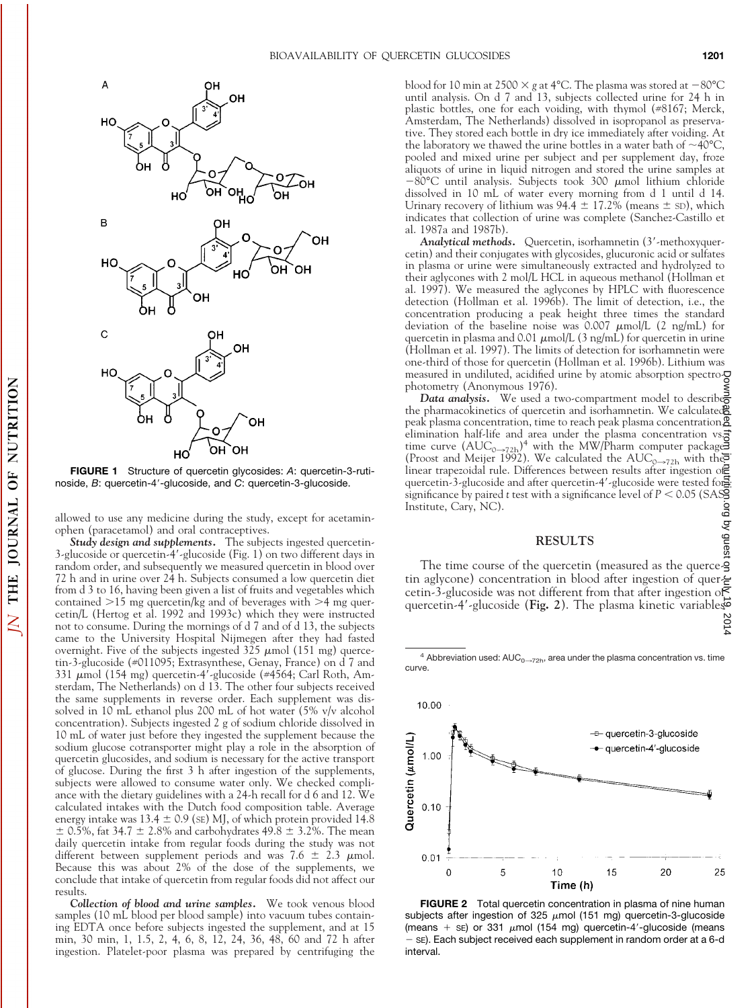

**FIGURE 1** Structure of quercetin glycosides: *A*: quercetin-3-rutinoside, *B*: quercetin-4'-glucoside, and *C*: quercetin-3-glucoside.

allowed to use any medicine during the study, except for acetaminophen (paracetamol) and oral contraceptives.

*Study design and supplements.* The subjects ingested quercetin-3-glucoside or quercetin-4'-glucoside (Fig. 1) on two different days in random order, and subsequently we measured quercetin in blood over 72 h and in urine over 24 h. Subjects consumed a low quercetin diet from d 3 to 16, having been given a list of fruits and vegetables which contained  $>15$  mg quercetin/kg and of beverages with  $>4$  mg quercetin/L (Hertog et al. 1992 and 1993c) which they were instructed not to consume. During the mornings of d 7 and of d 13, the subjects came to the University Hospital Nijmegen after they had fasted overnight. Five of the subjects ingested  $325 \mu$ mol (151 mg) quercetin-3-glucoside (#011095; Extrasynthese, Genay, France) on d 7 and 331 umol (154 mg) quercetin-4'-glucoside (#4564; Carl Roth, Amsterdam, The Netherlands) on d 13. The other four subjects received the same supplements in reverse order. Each supplement was dissolved in 10 mL ethanol plus 200 mL of hot water (5% v/v alcohol concentration). Subjects ingested 2 g of sodium chloride dissolved in 10 mL of water just before they ingested the supplement because the sodium glucose cotransporter might play a role in the absorption of quercetin glucosides, and sodium is necessary for the active transport of glucose. During the first 3 h after ingestion of the supplements, subjects were allowed to consume water only. We checked compliance with the dietary guidelines with a 24-h recall for d 6 and 12. We calculated intakes with the Dutch food composition table. Average energy intake was 13.4  $\pm$  0.9 (SE) MJ, of which protein provided 14.8  $\pm$  0.5%, fat 34.7  $\pm$  2.8% and carbohydrates 49.8  $\pm$  3.2%. The mean daily quercetin intake from regular foods during the study was not different between supplement periods and was 7.6  $\pm$  2.3  $\mu$ mol. Because this was about 2% of the dose of the supplements, we conclude that intake of quercetin from regular foods did not affect our results.

*Collection of blood and urine samples.* We took venous blood samples (10 mL blood per blood sample) into vacuum tubes containing EDTA once before subjects ingested the supplement, and at 15 min, 30 min, 1, 1.5, 2, 4, 6, 8, 12, 24, 36, 48, 60 and 72 h after ingestion. Platelet-poor plasma was prepared by centrifuging the blood for 10 min at 2500  $\times$  g at 4°C. The plasma was stored at  $-80^{\circ}$ C until analysis. On d 7 and 13, subjects collected urine for 24 h in plastic bottles, one for each voiding, with thymol (#8167; Merck, Amsterdam, The Netherlands) dissolved in isopropanol as preservative. They stored each bottle in dry ice immediately after voiding. At the laboratory we thawed the urine bottles in a water bath of  $\sim$ 40°C, pooled and mixed urine per subject and per supplement day, froze aliquots of urine in liquid nitrogen and stored the urine samples at  $-80^{\circ}$ C until analysis. Subjects took 300  $\mu$ mol lithium chloride dissolved in 10 mL of water every morning from d 1 until d 14. Urinary recovery of lithium was  $94.4 \pm 17.2\%$  (means  $\pm$  sD), which indicates that collection of urine was complete (Sanchez-Castillo et al. 1987a and 1987b).

Analytical methods. Quercetin, isorhamnetin (3'-methoxyquercetin) and their conjugates with glycosides, glucuronic acid or sulfates in plasma or urine were simultaneously extracted and hydrolyzed to their aglycones with 2 mol/L HCL in aqueous methanol (Hollman et al. 1997). We measured the aglycones by HPLC with fluorescence detection (Hollman et al. 1996b). The limit of detection, i.e., the concentration producing a peak height three times the standard deviation of the baseline noise was  $0.007 \ \mu \text{mol/L}$  (2 ng/mL) for quercetin in plasma and 0.01  $\mu$ mol/L (3 ng/mL) for quercetin in urine (Hollman et al. 1997). The limits of detection for isorhamnetin were one-third of those for quercetin (Hollman et al. 1996b). Lithium was measured in undiluted, acidified urine by atomic absorption spectrophotometry (Anonymous 1976).

*Data analysis.* We used a two-compartment model to describe the pharmacokinetics of quercetin and isorhamnetin. We calculated peak plasma concentration, time to reach peak plasma concentration, elimination half-life and area under the plasma concentration vs. time curve  $(AUC_{0\rightarrow72h})^4$  with the MW/Pharm computer package (Proost and Meijer 1992). We calculated the  $\text{AUC}_{\text{Q}\rightarrow72\text{h}}$  with the linear trapezoidal rule. Differences between results after ingestion of quercetin-3-glucoside and after quercetin-4'-glucoside were tested for significance by paired  $t$  test with a significance level of  $P$  < 0.05 (SAS) Institute, Cary, NC). by guest on July 19, 2014 [jn.nutrition.org](http://jn.nutrition.org/) Downloaded from

#### **RESULTS**

The time course of the quercetin (measured as the quercetin aglycone) concentration in blood after ingestion of quercetin-3-glucoside was not different from that after ingestion of quercetin-4'-glucoside (**Fig. 2**). The plasma kinetic variables<br>8<br>4

 $4$  Abbreviation used: AUC<sub>0→72h</sub>, area under the plasma concentration vs. time curve.



**FIGURE 2** Total quercetin concentration in plasma of nine human subjects after ingestion of 325  $\mu$ mol (151 mg) quercetin-3-glucoside (means  $+$  se) or 331  $\mu$ mol (154 mg) quercetin-4'-glucoside (means se). Each subject received each supplement in random order at a 6-d interval.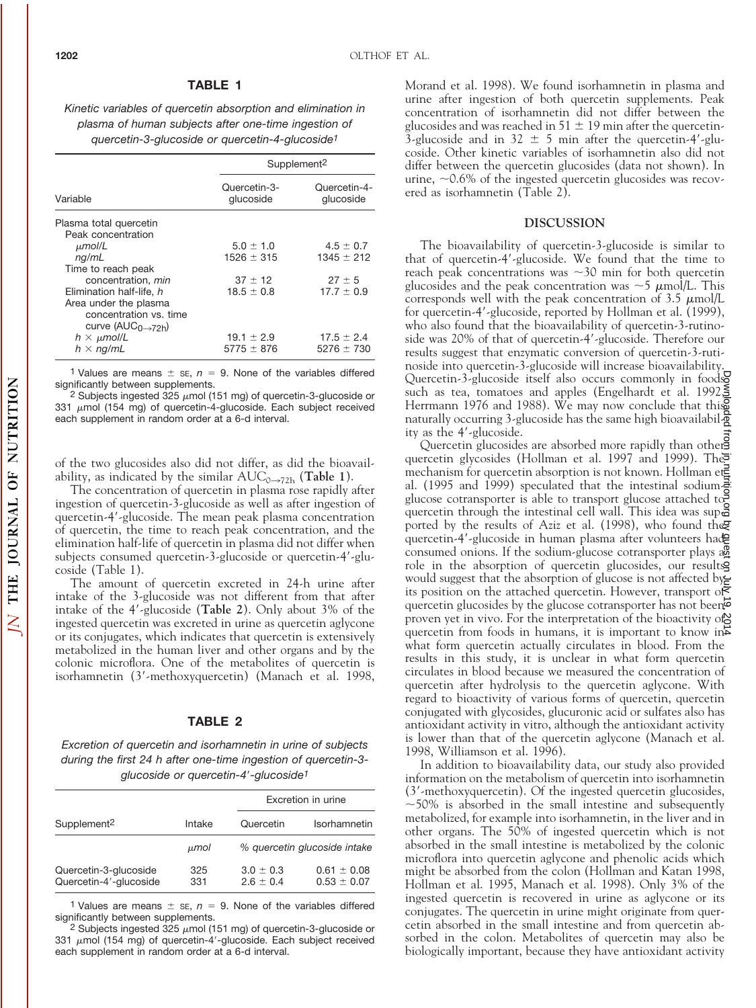#### **TABLE 1**

*Kinetic variables of quercetin absorption and elimination in plasma of human subjects after one-time ingestion of quercetin-3-glucoside or quercetin-4-glucoside1*

| Variable                       | Supplement <sup>2</sup>   |                           |
|--------------------------------|---------------------------|---------------------------|
|                                | Quercetin-3-<br>glucoside | Quercetin-4-<br>glucoside |
| Plasma total quercetin         |                           |                           |
| Peak concentration             |                           |                           |
| $\mu$ mol/L                    | $5.0 \pm 1.0$             | $4.5 \pm 0.7$             |
| nq/mL                          | $1526 \pm 315$            | $1345 \pm 212$            |
| Time to reach peak             |                           |                           |
| concentration, min             | $37 \pm 12$               | $27 \pm 5$                |
| Elimination half-life, h       | $18.5 \pm 0.8$            | $17.7 + 0.9$              |
| Area under the plasma          |                           |                           |
| concentration vs. time         |                           |                           |
| curve ( $AUC0\rightarrow72h$ ) |                           |                           |
| $h \times \mu$ mol/L           | $19.1 \pm 2.9$            | $17.5 \pm 2.4$            |
| $h \times nq/mL$               | $5775 \pm 876$            | $5276 \pm 730$            |

1 Values are means  $\pm$  se,  $n = 9$ . None of the variables differed significantly between supplements.

<sup>2</sup> Subjects ingested  $325 \mu$ mol (151 mg) of quercetin-3-glucoside or 331  $\mu$ mol (154 mg) of quercetin-4-glucoside. Each subject received each supplement in random order at a 6-d interval.

of the two glucosides also did not differ, as did the bioavailability, as indicated by the similar  $AUC_{0\rightarrow72h}$  (**Table 1**).

The concentration of quercetin in plasma rose rapidly after ingestion of quercetin-3-glucoside as well as after ingestion of quercetin-4'-glucoside. The mean peak plasma concentration of quercetin, the time to reach peak concentration, and the elimination half-life of quercetin in plasma did not differ when subjects consumed quercetin-3-glucoside or quercetin-4'-glucoside (Table 1).

The amount of quercetin excreted in 24-h urine after intake of the 3-glucoside was not different from that after intake of the 4'-glucoside (Table 2). Only about 3% of the ingested quercetin was excreted in urine as quercetin aglycone or its conjugates, which indicates that quercetin is extensively metabolized in the human liver and other organs and by the colonic microflora. One of the metabolites of quercetin is isorhamnetin (3'-methoxyquercetin) (Manach et al. 1998,

## **TABLE 2**

*Excretion of quercetin and isorhamnetin in urine of subjects during the first 24 h after one-time ingestion of quercetin-3 glucoside or quercetin-4*9*-glucoside1*

|                                                 |            |                                | Excretion in urine                 |  |
|-------------------------------------------------|------------|--------------------------------|------------------------------------|--|
| Supplement <sup>2</sup>                         | Intake     | Quercetin                      | Isorhamnetin                       |  |
|                                                 | μmol       |                                | % quercetin glucoside intake       |  |
| Quercetin-3-glucoside<br>Quercetin-4'-glucoside | 325<br>331 | $3.0 \pm 0.3$<br>$2.6 \pm 0.4$ | $0.61 \pm 0.08$<br>$0.53 \pm 0.07$ |  |

1 Values are means  $\pm$  se,  $n = 9$ . None of the variables differed significantly between supplements.

2 Subjects ingested 325  $\mu$ mol (151 mg) of quercetin-3-glucoside or 331  $\mu$ mol (154 mg) of quercetin-4'-glucoside. Each subject received each supplement in random order at a 6-d interval.

Morand et al. 1998). We found isorhamnetin in plasma and urine after ingestion of both quercetin supplements. Peak concentration of isorhamnetin did not differ between the glucosides and was reached in 51  $\pm$  19 min after the quercetin-3-glucoside and in 32  $\pm$  5 min after the quercetin-4'-glucoside. Other kinetic variables of isorhamnetin also did not differ between the quercetin glucosides (data not shown). In urine,  $\sim$  0.6% of the ingested quercetin glucosides was recovered as isorhamnetin (Table 2).

## **DISCUSSION**

The bioavailability of quercetin-3-glucoside is similar to that of quercetin-4'-glucoside. We found that the time to reach peak concentrations was  $\sim$ 30 min for both quercetin glucosides and the peak concentration was  $\sim$  5  $\mu$ mol/L. This corresponds well with the peak concentration of  $3.5 \mu$ mol/L for quercetin-4'-glucoside, reported by Hollman et al. (1999), who also found that the bioavailability of quercetin-3-rutinoside was 20% of that of quercetin-4'-glucoside. Therefore our results suggest that enzymatic conversion of quercetin-3-rutinoside into quercetin-3-glucoside will increase bioavailability. Quercetin-3-glucoside itself also occurs commonly in foods such as tea, tomatoes and apples (Engelhardt et al. 1992,5 Herrmann 1976 and 1988). We may now conclude that this naturally occurring 3-glucoside has the same high bioavailability as the  $4'$ -glucoside.

Quercetin glucosides are absorbed more rapidly than other quercetin glycosides (Hollman et al. 1997 and 1999). The mechanism for quercetin absorption is not known. Hollman et al. (1995 and 1999) speculated that the intestinal sodium glucose cotransporter is able to transport glucose attached to quercetin through the intestinal cell wall. This idea was supe ported by the results of Aziz et al. (1998), who found the quercetin-4'-glucoside in human plasma after volunteers hade consumed onions. If the sodium-glucose cotransporter plays a role in the absorption of quercetin glucosides, our results would suggest that the absorption of glucose is not affected by its position on the attached quercetin. However, transport of quercetin glucosides by the glucose cotransporter has not been proven yet in vivo. For the interpretation of the bioactivity of quercetin from foods in humans, it is important to know in what form quercetin actually circulates in blood. From the results in this study, it is unclear in what form quercetin circulates in blood because we measured the concentration of quercetin after hydrolysis to the quercetin aglycone. With regard to bioactivity of various forms of quercetin, quercetin conjugated with glycosides, glucuronic acid or sulfates also has antioxidant activity in vitro, although the antioxidant activity is lower than that of the quercetin aglycone (Manach et al. 1998, Williamson et al. 1996). by when trom in, theirition.org by guest on July 2014

In addition to bioavailability data, our study also provided information on the metabolism of quercetin into isorhamnetin (3'-methoxyquercetin). Of the ingested quercetin glucosides,  $\sim$  50% is absorbed in the small intestine and subsequently metabolized, for example into isorhamnetin, in the liver and in other organs. The 50% of ingested quercetin which is not absorbed in the small intestine is metabolized by the colonic microflora into quercetin aglycone and phenolic acids which might be absorbed from the colon (Hollman and Katan 1998, Hollman et al. 1995, Manach et al. 1998). Only 3% of the ingested quercetin is recovered in urine as aglycone or its conjugates. The quercetin in urine might originate from quercetin absorbed in the small intestine and from quercetin absorbed in the colon. Metabolites of quercetin may also be biologically important, because they have antioxidant activity